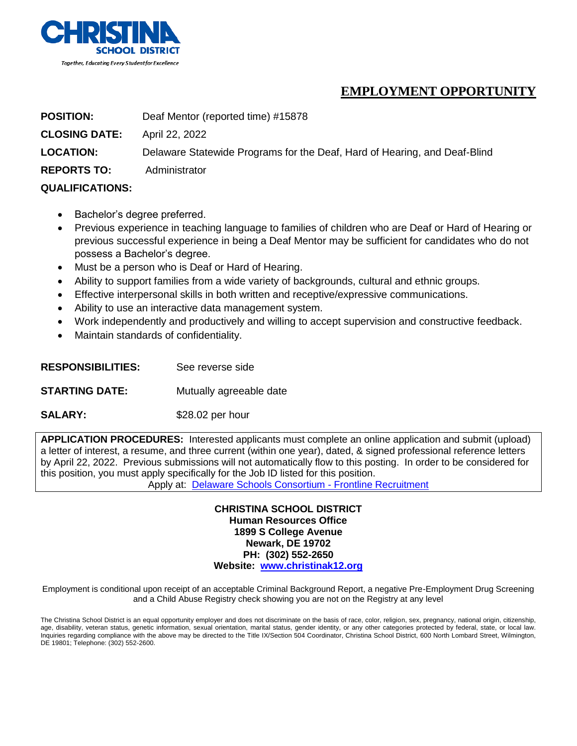

## **EMPLOYMENT OPPORTUNITY**

**POSITION:** Deaf Mentor (reported time) #15878 **CLOSING DATE:** April 22, 2022 **LOCATION:** Delaware Statewide Programs for the Deaf, Hard of Hearing, and Deaf-Blind **REPORTS TO:** Administrator **QUALIFICATIONS:** 

- Bachelor's degree preferred.
- Previous experience in teaching language to families of children who are Deaf or Hard of Hearing or previous successful experience in being a Deaf Mentor may be sufficient for candidates who do not possess a Bachelor's degree.
- Must be a person who is Deaf or Hard of Hearing.
- Ability to support families from a wide variety of backgrounds, cultural and ethnic groups.
- Effective interpersonal skills in both written and receptive/expressive communications.
- Ability to use an interactive data management system.
- Work independently and productively and willing to accept supervision and constructive feedback.
- Maintain standards of confidentiality.
- **RESPONSIBILITIES:** See reverse side
- **STARTING DATE:** Mutually agreeable date
- SALARY: \$28.02 per hour

**APPLICATION PROCEDURES:** Interested applicants must complete an online application and submit (upload) a letter of interest, a resume, and three current (within one year), dated, & signed professional reference letters by April 22, 2022. Previous submissions will not automatically flow to this posting. In order to be considered for this position, you must apply specifically for the Job ID listed for this position.

Apply at: [Delaware Schools Consortium -](https://www.applitrack.com/joindelawareschools/onlineapp/default.aspx?choosedistrict=true&applitrackclient=40208) Frontline Recruitment

**CHRISTINA SCHOOL DISTRICT Human Resources Office 1899 S College Avenue Newark, DE 19702 PH: (302) 552-2650 Website: [www.christinak12.org](../../WALNOCKA/AppData/Local/Microsoft/Windows/Temporary%20Internet%20Files/11-12/Reported%20Time/www.christinak12.org)**

Employment is conditional upon receipt of an acceptable Criminal Background Report, a negative Pre-Employment Drug Screening and a Child Abuse Registry check showing you are not on the Registry at any level

The Christina School District is an equal opportunity employer and does not discriminate on the basis of race, color, religion, sex, pregnancy, national origin, citizenship, age, disability, veteran status, genetic information, sexual orientation, marital status, gender identity, or any other categories protected by federal, state, or local law. Inquiries regarding compliance with the above may be directed to the Title IX/Section 504 Coordinator, Christina School District, 600 North Lombard Street, Wilmington, DE 19801; Telephone: (302) 552-2600.